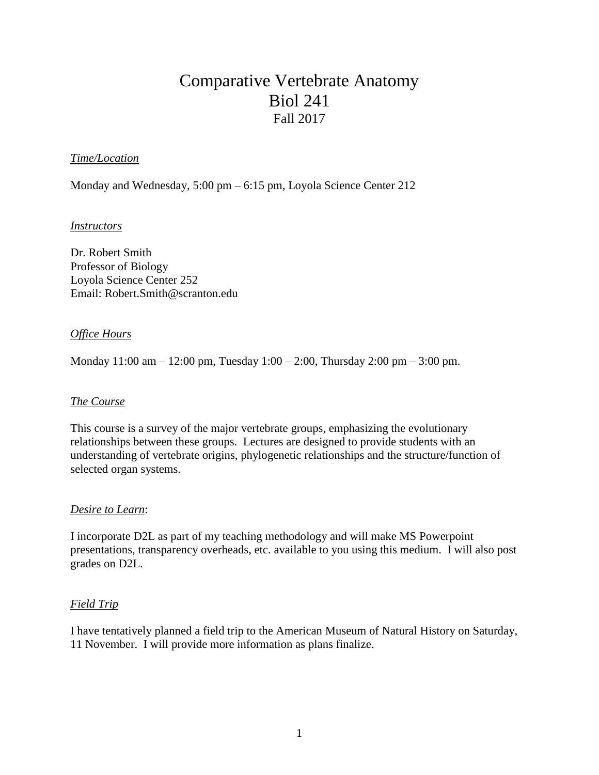## Comparative Vertebrate Anatomy Biol 241 Fall 2017

## *Time/Location*

Monday and Wednesday, 5:00 pm – 6:15 pm, Loyola Science Center 212

#### *Instructors*

Dr. Robert Smith Professor of Biology Loyola Science Center 252 Email: Robert.Smith@scranton.edu

#### *Office Hours*

Monday 11:00 am – 12:00 pm, Tuesday 1:00 – 2:00, Thursday 2:00 pm – 3:00 pm.

#### *The Course*

This course is a survey of the major vertebrate groups, emphasizing the evolutionary relationships between these groups. Lectures are designed to provide students with an understanding of vertebrate origins, phylogenetic relationships and the structure/function of selected organ systems.

#### *Desire to Learn*:

I incorporate D2L as part of my teaching methodology and will make MS Powerpoint presentations, transparency overheads, etc. available to you using this medium. I will also post grades on D2L.

## *Field Trip*

I have tentatively planned a field trip to the American Museum of Natural History on Saturday, 11 November. I will provide more information as plans finalize.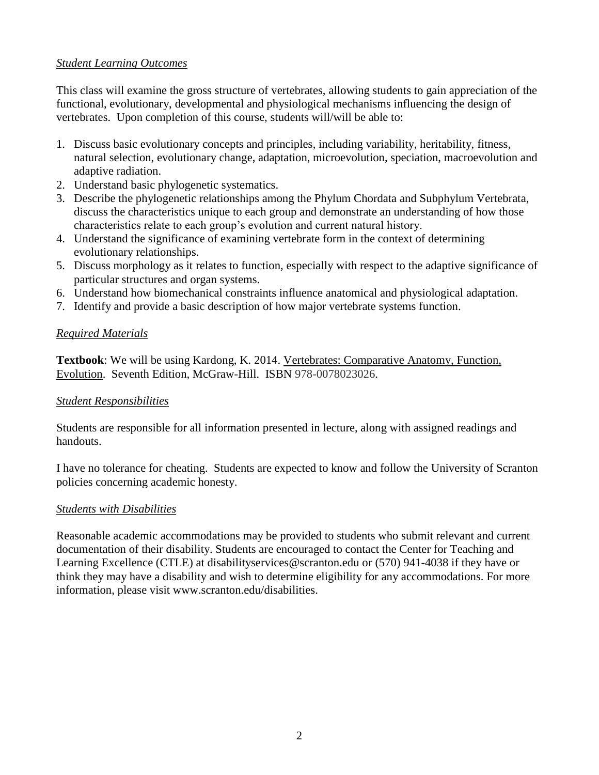## *Student Learning Outcomes*

This class will examine the gross structure of vertebrates, allowing students to gain appreciation of the functional, evolutionary, developmental and physiological mechanisms influencing the design of vertebrates. Upon completion of this course, students will/will be able to:

- 1. Discuss basic evolutionary concepts and principles, including variability, heritability, fitness, natural selection, evolutionary change, adaptation, microevolution, speciation, macroevolution and adaptive radiation.
- 2. Understand basic phylogenetic systematics.
- 3. Describe the phylogenetic relationships among the Phylum Chordata and Subphylum Vertebrata, discuss the characteristics unique to each group and demonstrate an understanding of how those characteristics relate to each group's evolution and current natural history.
- 4. Understand the significance of examining vertebrate form in the context of determining evolutionary relationships.
- 5. Discuss morphology as it relates to function, especially with respect to the adaptive significance of particular structures and organ systems.
- 6. Understand how biomechanical constraints influence anatomical and physiological adaptation.
- 7. Identify and provide a basic description of how major vertebrate systems function.

## *Required Materials*

**Textbook**: We will be using Kardong, K. 2014. Vertebrates: Comparative Anatomy, Function, Evolution. Seventh Edition, McGraw-Hill. ISBN 978-0078023026.

## *Student Responsibilities*

Students are responsible for all information presented in lecture, along with assigned readings and handouts.

I have no tolerance for cheating. Students are expected to know and follow the University of Scranton policies concerning academic honesty.

## *Students with Disabilities*

Reasonable academic accommodations may be provided to students who submit relevant and current documentation of their disability. Students are encouraged to contact the Center for Teaching and Learning Excellence (CTLE) at disabilityservices@scranton.edu or (570) 941-4038 if they have or think they may have a disability and wish to determine eligibility for any accommodations. For more information, please visit www.scranton.edu/disabilities.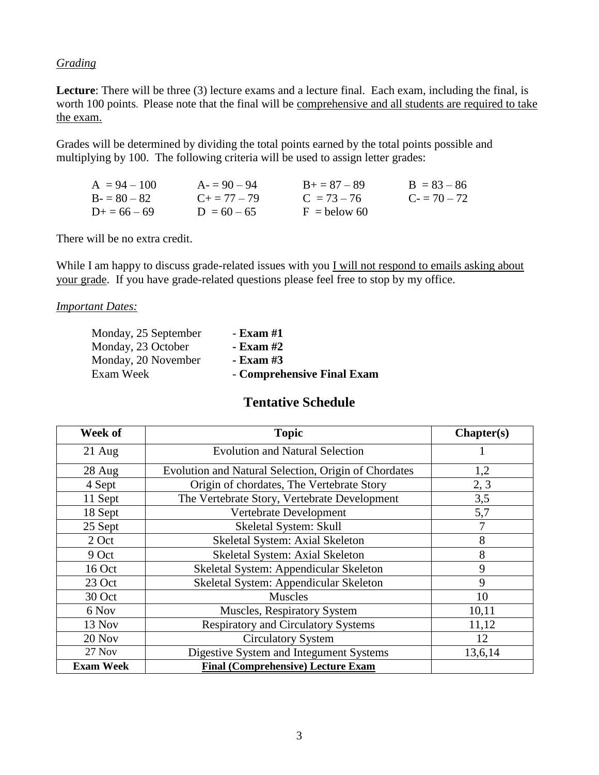## *Grading*

Lecture: There will be three (3) lecture exams and a lecture final. Each exam, including the final, is worth 100 points. Please note that the final will be comprehensive and all students are required to take the exam.

Grades will be determined by dividing the total points earned by the total points possible and multiplying by 100. The following criteria will be used to assign letter grades:

| $A = 94 - 100$    | $A = 90 - 94$       | $B_{+} = 87 - 89$ | $B = 83 - 86$ |
|-------------------|---------------------|-------------------|---------------|
| $B = 80 - 82$     | $C_{\pm} = 77 - 79$ | $C = 73 - 76$     | $C = 70 - 72$ |
| $D_{+} = 66 - 69$ | $D = 60 - 65$       | $F =$ below 60    |               |

There will be no extra credit.

While I am happy to discuss grade-related issues with you I will not respond to emails asking about your grade. If you have grade-related questions please feel free to stop by my office.

*Important Dates:*

| Monday, 25 September | - Exam #1                  |
|----------------------|----------------------------|
| Monday, 23 October   | - Exam #2                  |
| Monday, 20 November  | - Exam #3                  |
| Exam Week            | - Comprehensive Final Exam |

## **Tentative Schedule**

| Week of          | <b>Topic</b>                                         | Chapter(s) |
|------------------|------------------------------------------------------|------------|
| $21$ Aug         | <b>Evolution and Natural Selection</b>               |            |
| 28 Aug           | Evolution and Natural Selection, Origin of Chordates | 1,2        |
| 4 Sept           | Origin of chordates, The Vertebrate Story            | 2, 3       |
| 11 Sept          | The Vertebrate Story, Vertebrate Development         | 3,5        |
| 18 Sept          | Vertebrate Development                               | 5,7        |
| 25 Sept          | Skeletal System: Skull                               | 7          |
| 2 Oct            | Skeletal System: Axial Skeleton                      | 8          |
| 9 Oct            | Skeletal System: Axial Skeleton                      | 8          |
| 16 Oct           | Skeletal System: Appendicular Skeleton               | 9          |
| 23 Oct           | Skeletal System: Appendicular Skeleton               | 9          |
| 30 Oct           | <b>Muscles</b>                                       | 10         |
| 6 Nov            | Muscles, Respiratory System                          | 10,11      |
| 13 Nov           | <b>Respiratory and Circulatory Systems</b>           | 11,12      |
| 20 Nov           | <b>Circulatory System</b>                            | 12         |
| 27 Nov           | Digestive System and Integument Systems              | 13,6,14    |
| <b>Exam Week</b> | <b>Final (Comprehensive) Lecture Exam</b>            |            |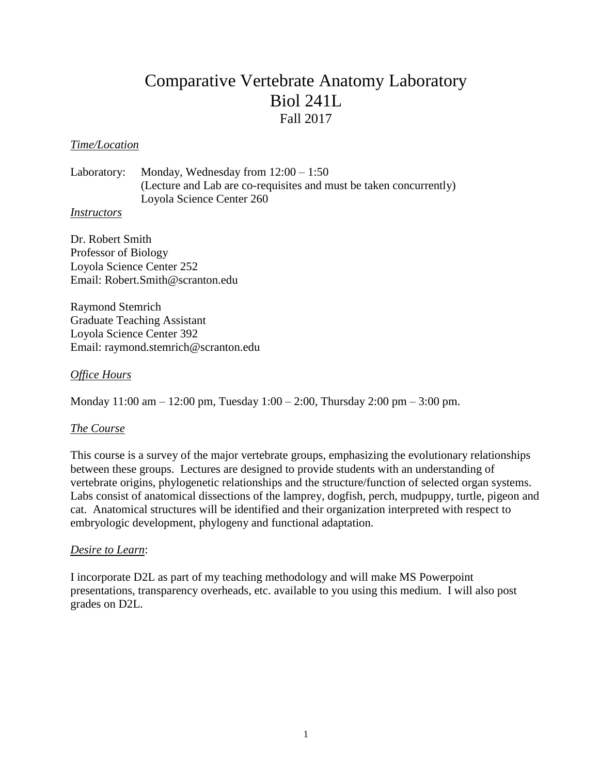# Comparative Vertebrate Anatomy Laboratory Biol 241L Fall 2017

#### *Time/Location*

Laboratory: Monday, Wednesday from 12:00 – 1:50 (Lecture and Lab are co-requisites and must be taken concurrently) Loyola Science Center 260

#### *Instructors*

Dr. Robert Smith Professor of Biology Loyola Science Center 252 Email: Robert.Smith@scranton.edu

Raymond Stemrich Graduate Teaching Assistant Loyola Science Center 392 Email: raymond.stemrich@scranton.edu

#### *Office Hours*

Monday 11:00 am – 12:00 pm, Tuesday 1:00 – 2:00, Thursday 2:00 pm – 3:00 pm.

#### *The Course*

This course is a survey of the major vertebrate groups, emphasizing the evolutionary relationships between these groups. Lectures are designed to provide students with an understanding of vertebrate origins, phylogenetic relationships and the structure/function of selected organ systems. Labs consist of anatomical dissections of the lamprey, dogfish, perch, mudpuppy, turtle, pigeon and cat. Anatomical structures will be identified and their organization interpreted with respect to embryologic development, phylogeny and functional adaptation.

#### *Desire to Learn*:

I incorporate D2L as part of my teaching methodology and will make MS Powerpoint presentations, transparency overheads, etc. available to you using this medium. I will also post grades on D2L.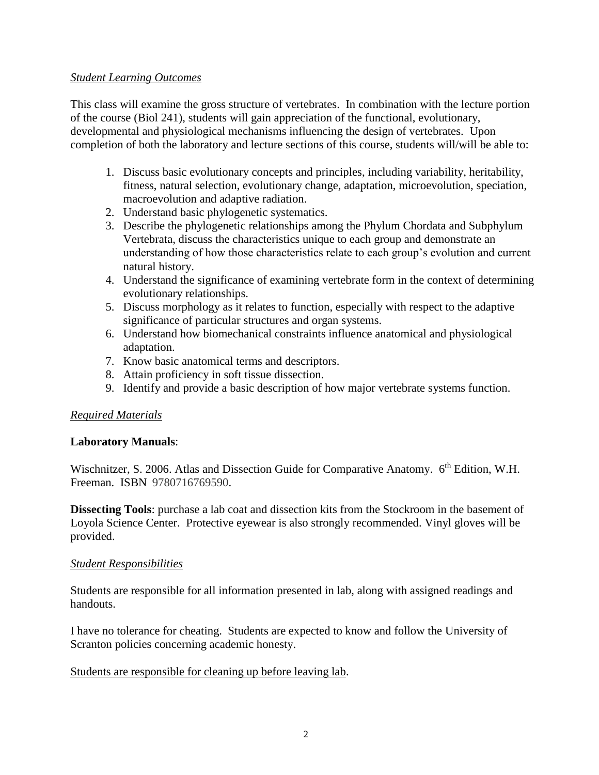#### *Student Learning Outcomes*

This class will examine the gross structure of vertebrates. In combination with the lecture portion of the course (Biol 241), students will gain appreciation of the functional, evolutionary, developmental and physiological mechanisms influencing the design of vertebrates. Upon completion of both the laboratory and lecture sections of this course, students will/will be able to:

- 1. Discuss basic evolutionary concepts and principles, including variability, heritability, fitness, natural selection, evolutionary change, adaptation, microevolution, speciation, macroevolution and adaptive radiation.
- 2. Understand basic phylogenetic systematics.
- 3. Describe the phylogenetic relationships among the Phylum Chordata and Subphylum Vertebrata, discuss the characteristics unique to each group and demonstrate an understanding of how those characteristics relate to each group's evolution and current natural history.
- 4. Understand the significance of examining vertebrate form in the context of determining evolutionary relationships.
- 5. Discuss morphology as it relates to function, especially with respect to the adaptive significance of particular structures and organ systems.
- 6. Understand how biomechanical constraints influence anatomical and physiological adaptation.
- 7. Know basic anatomical terms and descriptors.
- 8. Attain proficiency in soft tissue dissection.
- 9. Identify and provide a basic description of how major vertebrate systems function.

## *Required Materials*

## **Laboratory Manuals**:

Wischnitzer, S. 2006. Atlas and Dissection Guide for Comparative Anatomy. 6<sup>th</sup> Edition, W.H. Freeman. ISBN 9780716769590.

**Dissecting Tools**: purchase a lab coat and dissection kits from the Stockroom in the basement of Loyola Science Center. Protective eyewear is also strongly recommended. Vinyl gloves will be provided.

## *Student Responsibilities*

Students are responsible for all information presented in lab, along with assigned readings and handouts.

I have no tolerance for cheating. Students are expected to know and follow the University of Scranton policies concerning academic honesty.

## Students are responsible for cleaning up before leaving lab.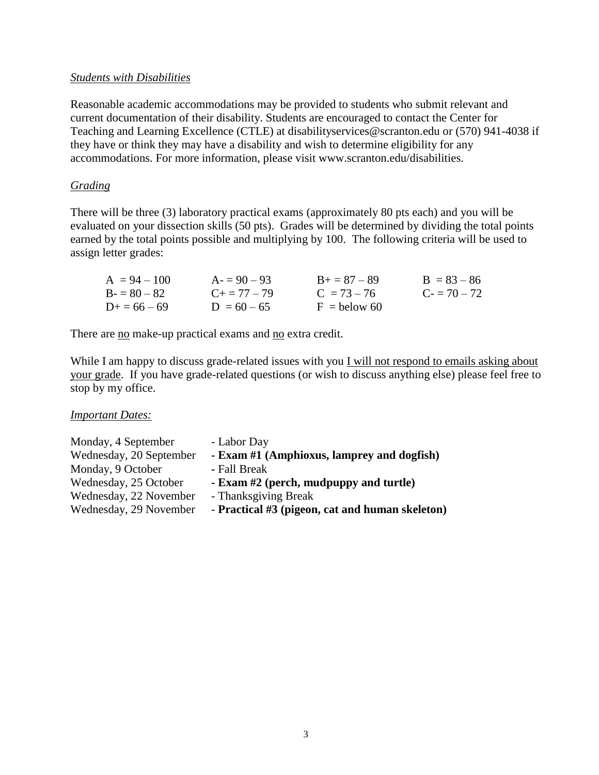## *Students with Disabilities*

Reasonable academic accommodations may be provided to students who submit relevant and current documentation of their disability. Students are encouraged to contact the Center for Teaching and Learning Excellence (CTLE) at disabilityservices@scranton.edu or (570) 941-4038 if they have or think they may have a disability and wish to determine eligibility for any accommodations. For more information, please visit www.scranton.edu/disabilities.

## *Grading*

There will be three (3) laboratory practical exams (approximately 80 pts each) and you will be evaluated on your dissection skills (50 pts). Grades will be determined by dividing the total points earned by the total points possible and multiplying by 100. The following criteria will be used to assign letter grades:

| $A = 94 - 100$    | $A = 90 - 93$       | $B_{+} = 87 - 89$ | $B = 83 - 86$ |
|-------------------|---------------------|-------------------|---------------|
| $B = 80 - 82$     | $C_{\pm} = 77 - 79$ | $C = 73 - 76$     | $C = 70 - 72$ |
| $D_{+} = 66 - 69$ | $D = 60 - 65$       | $F =$ helow 60    |               |

There are no make-up practical exams and no extra credit.

While I am happy to discuss grade-related issues with you I will not respond to emails asking about your grade. If you have grade-related questions (or wish to discuss anything else) please feel free to stop by my office.

*Important Dates:*

| Monday, 4 September     | - Labor Day                                     |
|-------------------------|-------------------------------------------------|
| Wednesday, 20 September | - Exam #1 (Amphioxus, lamprey and dogfish)      |
| Monday, 9 October       | - Fall Break                                    |
| Wednesday, 25 October   | - Exam #2 (perch, mudpuppy and turtle)          |
| Wednesday, 22 November  | - Thanksgiving Break                            |
| Wednesday, 29 November  | - Practical #3 (pigeon, cat and human skeleton) |